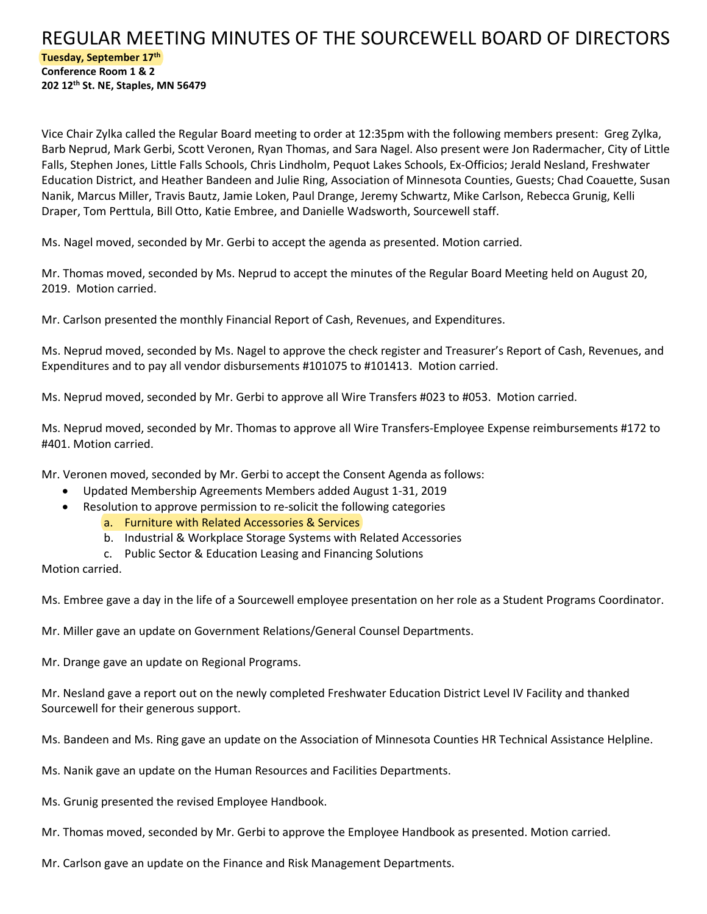## REGULAR MEETING MINUTES OF THE SOURCEWELL BOARD OF DIRECTORS **Tuesday, September 17th Conference Room 1 & 2 202 12th St. NE, Staples, MN 56479**

Vice Chair Zylka called the Regular Board meeting to order at 12:35pm with the following members present: Greg Zylka, Barb Neprud, Mark Gerbi, Scott Veronen, Ryan Thomas, and Sara Nagel. Also present were Jon Radermacher, City of Little Falls, Stephen Jones, Little Falls Schools, Chris Lindholm, Pequot Lakes Schools, Ex-Officios; Jerald Nesland, Freshwater Education District, and Heather Bandeen and Julie Ring, Association of Minnesota Counties, Guests; Chad Coauette, Susan Nanik, Marcus Miller, Travis Bautz, Jamie Loken, Paul Drange, Jeremy Schwartz, Mike Carlson, Rebecca Grunig, Kelli Draper, Tom Perttula, Bill Otto, Katie Embree, and Danielle Wadsworth, Sourcewell staff.

Ms. Nagel moved, seconded by Mr. Gerbi to accept the agenda as presented. Motion carried.

Mr. Thomas moved, seconded by Ms. Neprud to accept the minutes of the Regular Board Meeting held on August 20, 2019. Motion carried.

Mr. Carlson presented the monthly Financial Report of Cash, Revenues, and Expenditures.

Ms. Neprud moved, seconded by Ms. Nagel to approve the check register and Treasurer's Report of Cash, Revenues, and Expenditures and to pay all vendor disbursements #101075 to #101413. Motion carried.

Ms. Neprud moved, seconded by Mr. Gerbi to approve all Wire Transfers #023 to #053. Motion carried.

Ms. Neprud moved, seconded by Mr. Thomas to approve all Wire Transfers-Employee Expense reimbursements #172 to #401. Motion carried.

Mr. Veronen moved, seconded by Mr. Gerbi to accept the Consent Agenda as follows:

- Updated Membership Agreements Members added August 1-31, 2019
- Resolution to approve permission to re-solicit the following categories
	- a. Furniture with Related Accessories & Services
	- b. Industrial & Workplace Storage Systems with Related Accessories
	- c. Public Sector & Education Leasing and Financing Solutions

Motion carried.

Ms. Embree gave a day in the life of a Sourcewell employee presentation on her role as a Student Programs Coordinator.

Mr. Miller gave an update on Government Relations/General Counsel Departments.

Mr. Drange gave an update on Regional Programs.

Mr. Nesland gave a report out on the newly completed Freshwater Education District Level IV Facility and thanked Sourcewell for their generous support.

Ms. Bandeen and Ms. Ring gave an update on the Association of Minnesota Counties HR Technical Assistance Helpline.

Ms. Nanik gave an update on the Human Resources and Facilities Departments.

Ms. Grunig presented the revised Employee Handbook.

Mr. Thomas moved, seconded by Mr. Gerbi to approve the Employee Handbook as presented. Motion carried.

Mr. Carlson gave an update on the Finance and Risk Management Departments.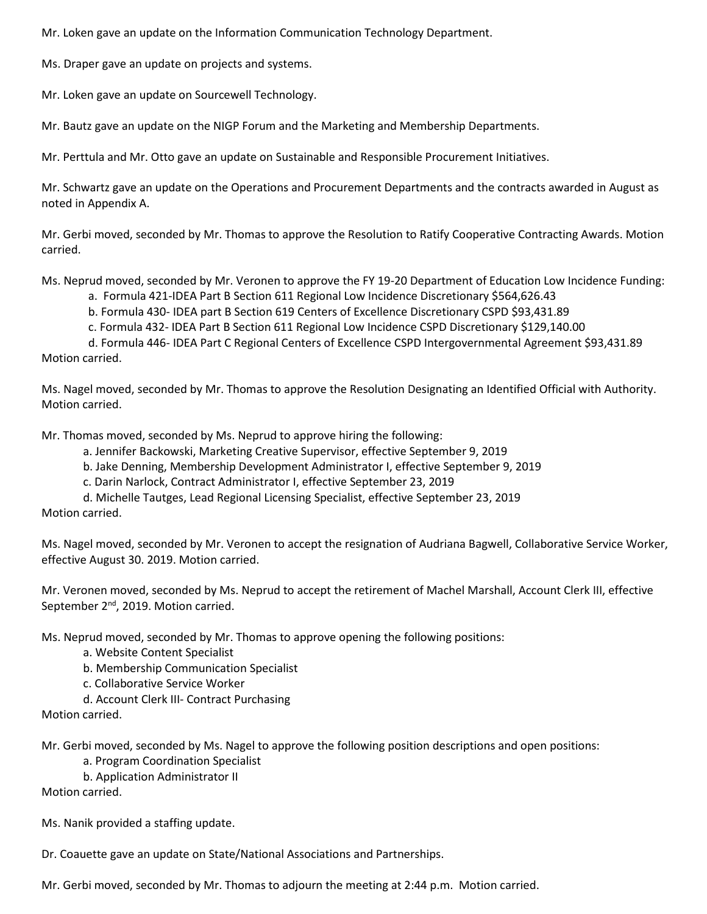Mr. Loken gave an update on the Information Communication Technology Department.

Ms. Draper gave an update on projects and systems.

Mr. Loken gave an update on Sourcewell Technology.

Mr. Bautz gave an update on the NIGP Forum and the Marketing and Membership Departments.

Mr. Perttula and Mr. Otto gave an update on Sustainable and Responsible Procurement Initiatives.

Mr. Schwartz gave an update on the Operations and Procurement Departments and the contracts awarded in August as noted in Appendix A.

Mr. Gerbi moved, seconded by Mr. Thomas to approve the Resolution to Ratify Cooperative Contracting Awards. Motion carried.

Ms. Neprud moved, seconded by Mr. Veronen to approve the FY 19-20 Department of Education Low Incidence Funding:

a. Formula 421-IDEA Part B Section 611 Regional Low Incidence Discretionary \$564,626.43

b. Formula 430- IDEA part B Section 619 Centers of Excellence Discretionary CSPD \$93,431.89

c. Formula 432- IDEA Part B Section 611 Regional Low Incidence CSPD Discretionary \$129,140.00

d. Formula 446- IDEA Part C Regional Centers of Excellence CSPD Intergovernmental Agreement \$93,431.89 Motion carried.

Ms. Nagel moved, seconded by Mr. Thomas to approve the Resolution Designating an Identified Official with Authority. Motion carried.

Mr. Thomas moved, seconded by Ms. Neprud to approve hiring the following:

a. Jennifer Backowski, Marketing Creative Supervisor, effective September 9, 2019

b. Jake Denning, Membership Development Administrator I, effective September 9, 2019

c. Darin Narlock, Contract Administrator I, effective September 23, 2019

d. Michelle Tautges, Lead Regional Licensing Specialist, effective September 23, 2019 Motion carried.

Ms. Nagel moved, seconded by Mr. Veronen to accept the resignation of Audriana Bagwell, Collaborative Service Worker, effective August 30. 2019. Motion carried.

Mr. Veronen moved, seconded by Ms. Neprud to accept the retirement of Machel Marshall, Account Clerk III, effective September 2<sup>nd</sup>, 2019. Motion carried.

Ms. Neprud moved, seconded by Mr. Thomas to approve opening the following positions:

- a. Website Content Specialist
- b. Membership Communication Specialist
- c. Collaborative Service Worker
- d. Account Clerk III- Contract Purchasing

Motion carried.

Mr. Gerbi moved, seconded by Ms. Nagel to approve the following position descriptions and open positions:

a. Program Coordination Specialist

b. Application Administrator II

Motion carried.

Ms. Nanik provided a staffing update.

Dr. Coauette gave an update on State/National Associations and Partnerships.

Mr. Gerbi moved, seconded by Mr. Thomas to adjourn the meeting at 2:44 p.m. Motion carried.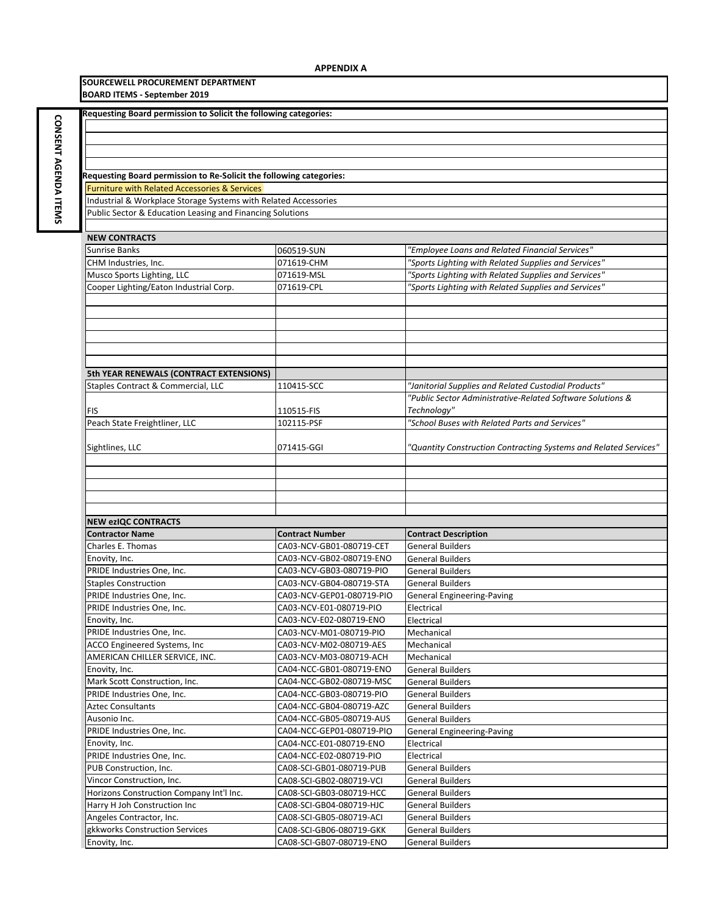**SOURCEWELL PROCUREMENT DEPARTMENT**

| <b>BOARD ITEMS - September 2019</b>                                   |                                                      |                                                                  |  |
|-----------------------------------------------------------------------|------------------------------------------------------|------------------------------------------------------------------|--|
| Requesting Board permission to Solicit the following categories:      |                                                      |                                                                  |  |
|                                                                       |                                                      |                                                                  |  |
|                                                                       |                                                      |                                                                  |  |
|                                                                       |                                                      |                                                                  |  |
|                                                                       |                                                      |                                                                  |  |
| Requesting Board permission to Re-Solicit the following categories:   |                                                      |                                                                  |  |
| <b>Furniture with Related Accessories &amp; Services</b>              |                                                      |                                                                  |  |
| Industrial & Workplace Storage Systems with Related Accessories       |                                                      |                                                                  |  |
| Public Sector & Education Leasing and Financing Solutions             |                                                      |                                                                  |  |
|                                                                       |                                                      |                                                                  |  |
| <b>NEW CONTRACTS</b>                                                  |                                                      |                                                                  |  |
| <b>Sunrise Banks</b>                                                  | 060519-SUN                                           | "Employee Loans and Related Financial Services"                  |  |
| CHM Industries, Inc.                                                  | 071619-CHM                                           | "Sports Lighting with Related Supplies and Services"             |  |
| Musco Sports Lighting, LLC                                            | 071619-MSL                                           | "Sports Lighting with Related Supplies and Services"             |  |
| Cooper Lighting/Eaton Industrial Corp.                                | 071619-CPL                                           | "Sports Lighting with Related Supplies and Services"             |  |
|                                                                       |                                                      |                                                                  |  |
|                                                                       |                                                      |                                                                  |  |
|                                                                       |                                                      |                                                                  |  |
|                                                                       |                                                      |                                                                  |  |
|                                                                       |                                                      |                                                                  |  |
|                                                                       |                                                      |                                                                  |  |
| 5th YEAR RENEWALS (CONTRACT EXTENSIONS)                               |                                                      |                                                                  |  |
| Staples Contract & Commercial, LLC                                    | 110415-SCC                                           | "Janitorial Supplies and Related Custodial Products"             |  |
|                                                                       |                                                      | "Public Sector Administrative-Related Software Solutions &       |  |
| FIS                                                                   | 110515-FIS                                           | Technology"                                                      |  |
| Peach State Freightliner, LLC                                         | 102115-PSF                                           | "School Buses with Related Parts and Services"                   |  |
|                                                                       | 071415-GGI                                           | "Quantity Construction Contracting Systems and Related Services" |  |
| Sightlines, LLC                                                       |                                                      |                                                                  |  |
|                                                                       |                                                      |                                                                  |  |
|                                                                       |                                                      |                                                                  |  |
|                                                                       |                                                      |                                                                  |  |
|                                                                       |                                                      |                                                                  |  |
| <b>NEW ezIQC CONTRACTS</b>                                            |                                                      |                                                                  |  |
| <b>Contractor Name</b>                                                | <b>Contract Number</b>                               | <b>Contract Description</b>                                      |  |
| Charles E. Thomas                                                     | CA03-NCV-GB01-080719-CET                             | <b>General Builders</b>                                          |  |
| Enovity, Inc.                                                         | CA03-NCV-GB02-080719-ENO                             | <b>General Builders</b>                                          |  |
| PRIDE Industries One, Inc.                                            | CA03-NCV-GB03-080719-PIO                             | <b>General Builders</b>                                          |  |
| <b>Staples Construction</b>                                           | CA03-NCV-GB04-080719-STA                             | <b>General Builders</b>                                          |  |
| PRIDE Industries One, Inc.                                            | CA03-NCV-GEP01-080719-PIO                            | <b>General Engineering-Paving</b>                                |  |
| PRIDE Industries One, Inc.                                            | CA03-NCV-E01-080719-PIO                              | Electrical                                                       |  |
| Enovity, Inc.                                                         | CA03-NCV-E02-080719-ENO                              | Electrical                                                       |  |
| PRIDE Industries One, Inc.                                            | CA03-NCV-M01-080719-PIO                              | Mechanical                                                       |  |
| ACCO Engineered Systems, Inc                                          | CA03-NCV-M02-080719-AES                              | Mechanical                                                       |  |
| AMERICAN CHILLER SERVICE, INC.                                        | CA03-NCV-M03-080719-ACH                              | Mechanical                                                       |  |
| Enovity, Inc.                                                         | CA04-NCC-GB01-080719-ENO                             | <b>General Builders</b>                                          |  |
| Mark Scott Construction, Inc.                                         | CA04-NCC-GB02-080719-MSC                             | <b>General Builders</b>                                          |  |
| PRIDE Industries One, Inc.                                            | CA04-NCC-GB03-080719-PIO                             | <b>General Builders</b>                                          |  |
| <b>Aztec Consultants</b>                                              | CA04-NCC-GB04-080719-AZC                             | <b>General Builders</b>                                          |  |
| Ausonio Inc.                                                          | CA04-NCC-GB05-080719-AUS                             | <b>General Builders</b>                                          |  |
| PRIDE Industries One, Inc.                                            | CA04-NCC-GEP01-080719-PIO                            | General Engineering-Paving                                       |  |
| Enovity, Inc.<br>PRIDE Industries One, Inc.                           | CA04-NCC-E01-080719-ENO                              | Electrical                                                       |  |
|                                                                       | CA04-NCC-E02-080719-PIO                              | Electrical                                                       |  |
| PUB Construction, Inc.                                                | CA08-SCI-GB01-080719-PUB                             | <b>General Builders</b><br><b>General Builders</b>               |  |
| Vincor Construction, Inc.<br>Horizons Construction Company Int'l Inc. | CA08-SCI-GB02-080719-VCI<br>CA08-SCI-GB03-080719-HCC | <b>General Builders</b>                                          |  |
| Harry H Joh Construction Inc                                          | CA08-SCI-GB04-080719-HJC                             | <b>General Builders</b>                                          |  |
| Angeles Contractor, Inc.                                              | CA08-SCI-GB05-080719-ACI                             | <b>General Builders</b>                                          |  |
| gkkworks Construction Services                                        | CA08-SCI-GB06-080719-GKK                             | <b>General Builders</b>                                          |  |
| Enovity, Inc.                                                         | CA08-SCI-GB07-080719-ENO                             | <b>General Builders</b>                                          |  |
|                                                                       |                                                      |                                                                  |  |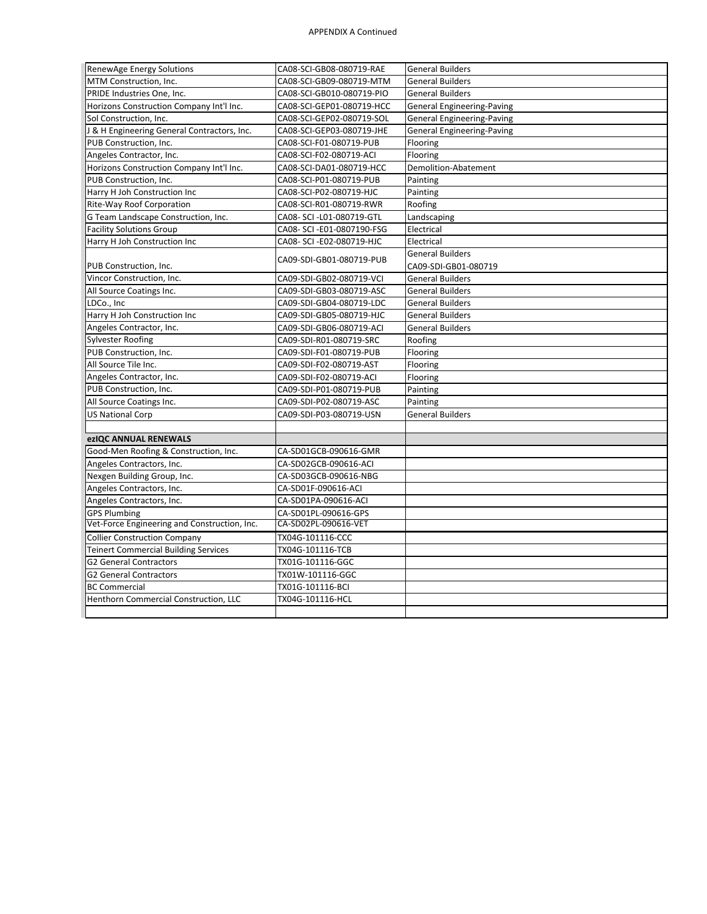| RenewAge Energy Solutions                    | CA08-SCI-GB08-080719-RAE   | <b>General Builders</b>           |
|----------------------------------------------|----------------------------|-----------------------------------|
| MTM Construction, Inc.                       | CA08-SCI-GB09-080719-MTM   | <b>General Builders</b>           |
| PRIDE Industries One, Inc.                   | CA08-SCI-GB010-080719-PIO  | <b>General Builders</b>           |
| Horizons Construction Company Int'l Inc.     | CA08-SCI-GEP01-080719-HCC  | <b>General Engineering-Paving</b> |
| Sol Construction, Inc.                       | CA08-SCI-GEP02-080719-SOL  | <b>General Engineering-Paving</b> |
| J & H Engineering General Contractors, Inc.  | CA08-SCI-GEP03-080719-JHE  | <b>General Engineering-Paving</b> |
| PUB Construction, Inc.                       | CA08-SCI-F01-080719-PUB    | Flooring                          |
| Angeles Contractor, Inc.                     | CA08-SCI-F02-080719-ACI    | Flooring                          |
| Horizons Construction Company Int'l Inc.     | CA08-SCI-DA01-080719-HCC   | Demolition-Abatement              |
| PUB Construction, Inc.                       | CA08-SCI-P01-080719-PUB    | Painting                          |
| Harry H Joh Construction Inc                 | CA08-SCI-P02-080719-HJC    | Painting                          |
| Rite-Way Roof Corporation                    | CA08-SCI-R01-080719-RWR    | Roofing                           |
| G Team Landscape Construction, Inc.          | CA08- SCI -L01-080719-GTL  | Landscaping                       |
| <b>Facility Solutions Group</b>              | CA08- SCI -E01-0807190-FSG | Electrical                        |
| Harry H Joh Construction Inc                 | CA08- SCI -E02-080719-HJC  | Electrical                        |
|                                              |                            | <b>General Builders</b>           |
| PUB Construction, Inc.                       | CA09-SDI-GB01-080719-PUB   | CA09-SDI-GB01-080719              |
| Vincor Construction, Inc.                    | CA09-SDI-GB02-080719-VCI   | <b>General Builders</b>           |
| All Source Coatings Inc.                     | CA09-SDI-GB03-080719-ASC   | <b>General Builders</b>           |
| LDCo., Inc                                   | CA09-SDI-GB04-080719-LDC   | <b>General Builders</b>           |
| Harry H Joh Construction Inc                 | CA09-SDI-GB05-080719-HJC   | <b>General Builders</b>           |
| Angeles Contractor, Inc.                     | CA09-SDI-GB06-080719-ACI   | <b>General Builders</b>           |
| Sylvester Roofing                            | CA09-SDI-R01-080719-SRC    | Roofing                           |
| PUB Construction, Inc.                       | CA09-SDI-F01-080719-PUB    | Flooring                          |
| All Source Tile Inc.                         | CA09-SDI-F02-080719-AST    | Flooring                          |
| Angeles Contractor, Inc.                     | CA09-SDI-F02-080719-ACI    | Flooring                          |
| PUB Construction, Inc.                       | CA09-SDI-P01-080719-PUB    | Painting                          |
| All Source Coatings Inc.                     | CA09-SDI-P02-080719-ASC    | Painting                          |
| <b>US National Corp</b>                      | CA09-SDI-P03-080719-USN    | <b>General Builders</b>           |
|                                              |                            |                                   |
| ezIQC ANNUAL RENEWALS                        |                            |                                   |
| Good-Men Roofing & Construction, Inc.        | CA-SD01GCB-090616-GMR      |                                   |
| Angeles Contractors, Inc.                    | CA-SD02GCB-090616-ACI      |                                   |
| Nexgen Building Group, Inc.                  | CA-SD03GCB-090616-NBG      |                                   |
| Angeles Contractors, Inc.                    | CA-SD01F-090616-ACI        |                                   |
| Angeles Contractors, Inc.                    | CA-SD01PA-090616-ACI       |                                   |
| <b>GPS Plumbing</b>                          | CA-SD01PL-090616-GPS       |                                   |
| Vet-Force Engineering and Construction, Inc. | CA-SD02PL-090616-VET       |                                   |
| <b>Collier Construction Company</b>          | TX04G-101116-CCC           |                                   |
| <b>Teinert Commercial Building Services</b>  | TX04G-101116-TCB           |                                   |
| <b>G2 General Contractors</b>                | TX01G-101116-GGC           |                                   |
| <b>G2 General Contractors</b>                | TX01W-101116-GGC           |                                   |
| <b>BC Commercial</b>                         | TX01G-101116-BCI           |                                   |
| Henthorn Commercial Construction, LLC        | TX04G-101116-HCL           |                                   |
|                                              |                            |                                   |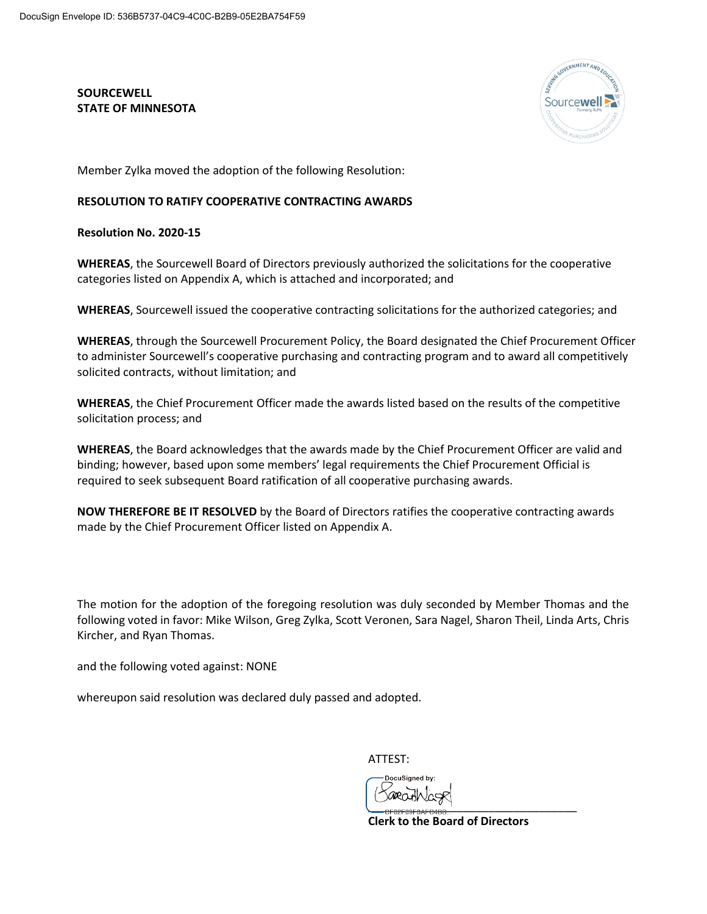**SOURCEWELL STATE OF MINNESOTA** 



Member Zylka moved the adoption of the following Resolution:

## **RESOLUTION TO RATIFY COOPERATIVE CONTRACTING AWARDS**

**Resolution No. 2020-15**

**WHEREAS**, the Sourcewell Board of Directors previously authorized the solicitations for the cooperative categories listed on Appendix A, which is attached and incorporated; and

**WHEREAS**, Sourcewell issued the cooperative contracting solicitations for the authorized categories; and

**WHEREAS**, through the Sourcewell Procurement Policy, the Board designated the Chief Procurement Officer to administer Sourcewell's cooperative purchasing and contracting program and to award all competitively solicited contracts, without limitation; and

**WHEREAS**, the Chief Procurement Officer made the awards listed based on the results of the competitive solicitation process; and

**WHEREAS**, the Board acknowledges that the awards made by the Chief Procurement Officer are valid and binding; however, based upon some members' legal requirements the Chief Procurement Official is required to seek subsequent Board ratification of all cooperative purchasing awards.

**NOW THEREFORE BE IT RESOLVED** by the Board of Directors ratifies the cooperative contracting awards made by the Chief Procurement Officer listed on Appendix A.

The motion for the adoption of the foregoing resolution was duly seconded by Member Thomas and the following voted in favor: Mike Wilson, Greg Zylka, Scott Veronen, Sara Nagel, Sharon Theil, Linda Arts, Chris Kircher, and Ryan Thomas.

and the following voted against: NONE

whereupon said resolution was declared duly passed and adopted.

ATTEST:

\_\_\_\_\_\_\_\_\_\_\_\_\_\_\_\_\_\_\_\_\_\_\_\_\_\_\_\_\_\_\_\_\_

**Clerk to the Board of Directors**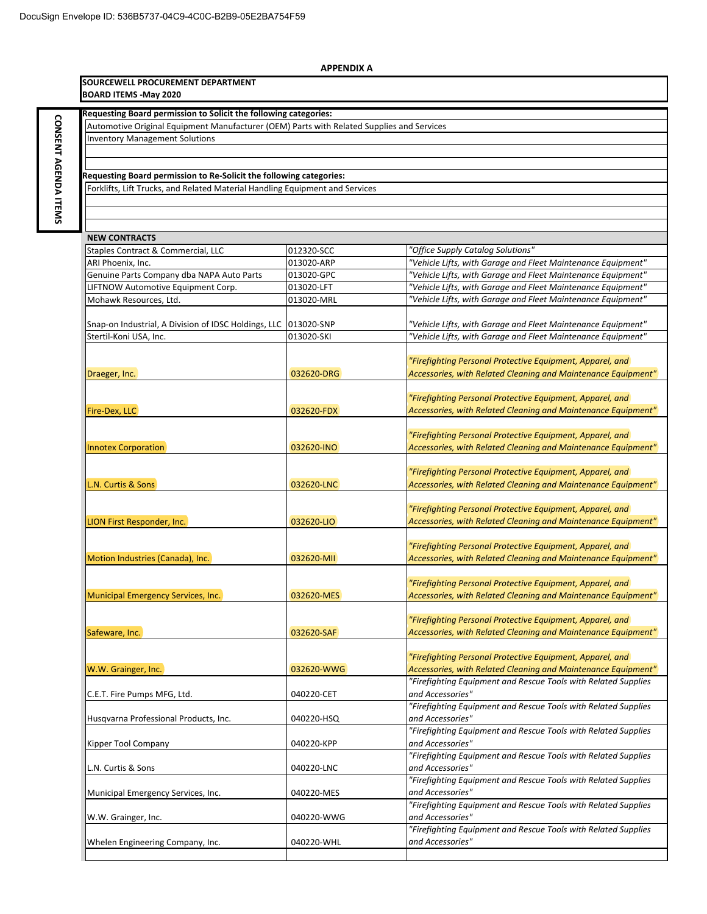| <b>APPENDIX A</b>                                                                         |            |                                                                |
|-------------------------------------------------------------------------------------------|------------|----------------------------------------------------------------|
| SOURCEWELL PROCUREMENT DEPARTMENT<br><b>BOARD ITEMS - May 2020</b>                        |            |                                                                |
|                                                                                           |            |                                                                |
| Requesting Board permission to Solicit the following categories:                          |            |                                                                |
| Automotive Original Equipment Manufacturer (OEM) Parts with Related Supplies and Services |            |                                                                |
| <b>Inventory Management Solutions</b>                                                     |            |                                                                |
|                                                                                           |            |                                                                |
|                                                                                           |            |                                                                |
| Requesting Board permission to Re-Solicit the following categories:                       |            |                                                                |
| Forklifts, Lift Trucks, and Related Material Handling Equipment and Services              |            |                                                                |
|                                                                                           |            |                                                                |
|                                                                                           |            |                                                                |
|                                                                                           |            |                                                                |
| <b>NEW CONTRACTS</b>                                                                      |            |                                                                |
| Staples Contract & Commercial, LLC                                                        | 012320-SCC | "Office Supply Catalog Solutions"                              |
| ARI Phoenix, Inc.                                                                         | 013020-ARP | "Vehicle Lifts, with Garage and Fleet Maintenance Equipment"   |
| Genuine Parts Company dba NAPA Auto Parts                                                 | 013020-GPC | "Vehicle Lifts, with Garage and Fleet Maintenance Equipment"   |
| LIFTNOW Automotive Equipment Corp.                                                        | 013020-LFT | "Vehicle Lifts, with Garage and Fleet Maintenance Equipment"   |
| Mohawk Resources, Ltd.                                                                    | 013020-MRL | "Vehicle Lifts, with Garage and Fleet Maintenance Equipment"   |
|                                                                                           |            |                                                                |
| Snap-on Industrial, A Division of IDSC Holdings, LLC                                      | 013020-SNP | "Vehicle Lifts, with Garage and Fleet Maintenance Equipment"   |
| Stertil-Koni USA, Inc.                                                                    | 013020-SKI | "Vehicle Lifts, with Garage and Fleet Maintenance Equipment"   |
|                                                                                           |            |                                                                |
|                                                                                           |            | "Firefighting Personal Protective Equipment, Apparel, and      |
| Draeger, Inc.                                                                             | 032620-DRG | Accessories, with Related Cleaning and Maintenance Equipment"  |
|                                                                                           |            |                                                                |
|                                                                                           |            | "Firefighting Personal Protective Equipment, Apparel, and      |
| Fire-Dex, LLC                                                                             | 032620-FDX | Accessories, with Related Cleaning and Maintenance Equipment"  |
|                                                                                           |            |                                                                |
|                                                                                           |            | "Firefighting Personal Protective Equipment, Apparel, and      |
| <b>Innotex Corporation</b>                                                                | 032620-INO | Accessories, with Related Cleaning and Maintenance Equipment"  |
|                                                                                           |            |                                                                |
|                                                                                           |            | "Firefighting Personal Protective Equipment, Apparel, and      |
| L.N. Curtis & Sons                                                                        | 032620-LNC | Accessories, with Related Cleaning and Maintenance Equipment"  |
|                                                                                           |            |                                                                |
|                                                                                           |            | "Firefighting Personal Protective Equipment, Apparel, and      |
| LION First Responder, Inc.                                                                | 032620-LIO | Accessories, with Related Cleaning and Maintenance Equipment"  |
|                                                                                           |            |                                                                |
|                                                                                           |            | "Firefighting Personal Protective Equipment, Apparel, and      |
| Motion Industries (Canada), Inc.                                                          | 032620-MII | Accessories, with Related Cleaning and Maintenance Equipment"  |
|                                                                                           |            |                                                                |
|                                                                                           |            | "Firefighting Personal Protective Equipment, Apparel, and      |
| Municipal Emergency Services, Inc.                                                        | 032620-MES | Accessories, with Related Cleaning and Maintenance Equipment"  |
|                                                                                           |            |                                                                |
|                                                                                           |            | "Firefighting Personal Protective Equipment, Apparel, and      |
| Safeware, Inc.                                                                            | 032620-SAF | Accessories, with Related Cleaning and Maintenance Equipment"  |
|                                                                                           |            |                                                                |
|                                                                                           |            | "Firefighting Personal Protective Equipment, Apparel, and      |
| W.W. Grainger, Inc.                                                                       | 032620-WWG | Accessories, with Related Cleaning and Maintenance Equipment"  |
|                                                                                           |            | "Firefighting Equipment and Rescue Tools with Related Supplies |
| C.E.T. Fire Pumps MFG, Ltd.                                                               | 040220-CET | and Accessories"                                               |
|                                                                                           |            | "Firefighting Equipment and Rescue Tools with Related Supplies |
| Husqvarna Professional Products, Inc.                                                     | 040220-HSQ | and Accessories"                                               |
|                                                                                           |            | "Firefighting Equipment and Rescue Tools with Related Supplies |
|                                                                                           |            | and Accessories"                                               |
| Kipper Tool Company                                                                       | 040220-KPP |                                                                |
|                                                                                           |            | "Firefighting Equipment and Rescue Tools with Related Supplies |
| L.N. Curtis & Sons                                                                        | 040220-LNC | and Accessories"                                               |
|                                                                                           |            | "Firefighting Equipment and Rescue Tools with Related Supplies |
| Municipal Emergency Services, Inc.                                                        | 040220-MES | and Accessories"                                               |
|                                                                                           |            | "Firefighting Equipment and Rescue Tools with Related Supplies |
| W.W. Grainger, Inc.                                                                       | 040220-WWG | and Accessories"                                               |
|                                                                                           |            | "Firefighting Equipment and Rescue Tools with Related Supplies |
| Whelen Engineering Company, Inc.                                                          | 040220-WHL | and Accessories"                                               |
|                                                                                           |            |                                                                |

## **APPENDIX A**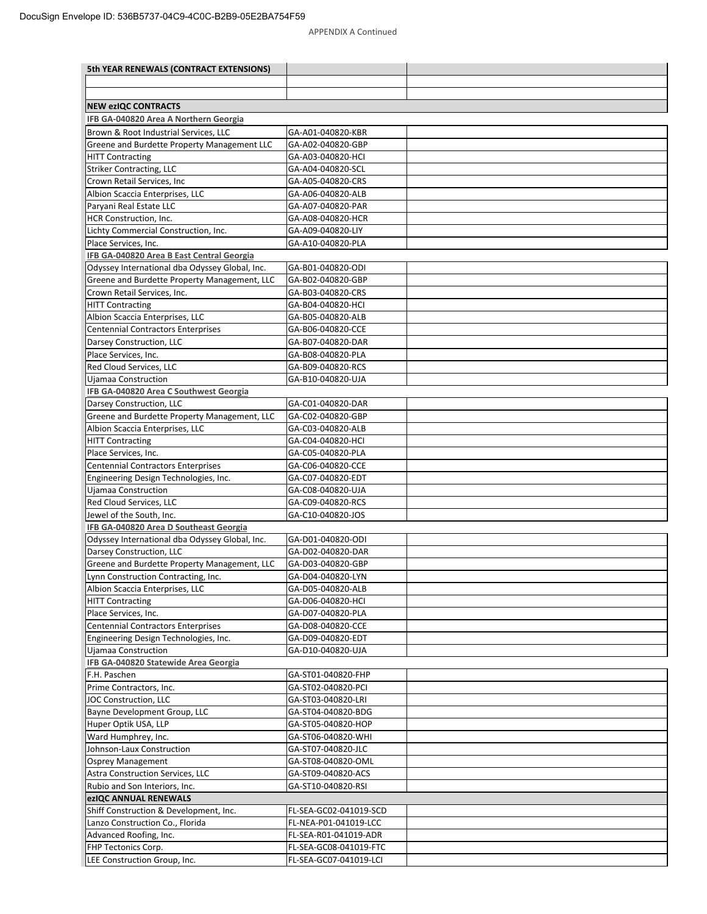| 5th YEAR RENEWALS (CONTRACT EXTENSIONS)               |                                        |  |
|-------------------------------------------------------|----------------------------------------|--|
|                                                       |                                        |  |
|                                                       |                                        |  |
| <b>NEW ezIQC CONTRACTS</b>                            |                                        |  |
| IFB GA-040820 Area A Northern Georgia                 |                                        |  |
| Brown & Root Industrial Services, LLC                 | GA-A01-040820-KBR                      |  |
| Greene and Burdette Property Management LLC           | GA-A02-040820-GBP                      |  |
| <b>HITT Contracting</b>                               | GA-A03-040820-HCI                      |  |
| <b>Striker Contracting, LLC</b>                       | GA-A04-040820-SCL                      |  |
| Crown Retail Services, Inc                            | GA-A05-040820-CRS                      |  |
| Albion Scaccia Enterprises, LLC                       | GA-A06-040820-ALB                      |  |
| Paryani Real Estate LLC                               | GA-A07-040820-PAR                      |  |
| HCR Construction, Inc.                                | GA-A08-040820-HCR                      |  |
| Lichty Commercial Construction, Inc.                  | GA-A09-040820-LIY                      |  |
| Place Services, Inc.                                  | GA-A10-040820-PLA                      |  |
| IFB GA-040820 Area B East Central Georgia             |                                        |  |
| Odyssey International dba Odyssey Global, Inc.        | GA-B01-040820-ODI                      |  |
| Greene and Burdette Property Management, LLC          | GA-B02-040820-GBP                      |  |
| Crown Retail Services, Inc.                           | GA-B03-040820-CRS                      |  |
| <b>HITT Contracting</b>                               | GA-B04-040820-HCI                      |  |
| Albion Scaccia Enterprises, LLC                       | GA-B05-040820-ALB                      |  |
| <b>Centennial Contractors Enterprises</b>             | GA-B06-040820-CCE                      |  |
| Darsey Construction, LLC                              | GA-B07-040820-DAR                      |  |
| Place Services, Inc.                                  | GA-B08-040820-PLA                      |  |
| Red Cloud Services, LLC                               | GA-B09-040820-RCS                      |  |
| Ujamaa Construction                                   | GA-B10-040820-UJA                      |  |
| IFB GA-040820 Area C Southwest Georgia                |                                        |  |
| Darsey Construction, LLC                              | GA-C01-040820-DAR                      |  |
| Greene and Burdette Property Management, LLC          | GA-C02-040820-GBP                      |  |
| Albion Scaccia Enterprises, LLC                       | GA-C03-040820-ALB                      |  |
| <b>HITT Contracting</b>                               | GA-C04-040820-HCI                      |  |
| Place Services, Inc.                                  | GA-C05-040820-PLA                      |  |
| <b>Centennial Contractors Enterprises</b>             | GA-C06-040820-CCE                      |  |
| Engineering Design Technologies, Inc.                 | GA-C07-040820-EDT                      |  |
| <b>Ujamaa Construction</b><br>Red Cloud Services, LLC | GA-C08-040820-UJA<br>GA-C09-040820-RCS |  |
| Jewel of the South, Inc.                              | GA-C10-040820-JOS                      |  |
| IFB GA-040820 Area D Southeast Georgia                |                                        |  |
| Odyssey International dba Odyssey Global, Inc.        | GA-D01-040820-ODI                      |  |
| Darsey Construction, LLC                              | GA-D02-040820-DAR                      |  |
| Greene and Burdette Property Management, LLC          | GA-D03-040820-GBP                      |  |
| Lynn Construction Contracting, Inc.                   | GA-D04-040820-LYN                      |  |
| Albion Scaccia Enterprises, LLC                       | GA-D05-040820-ALB                      |  |
| <b>HITT Contracting</b>                               | GA-D06-040820-HCI                      |  |
| Place Services, Inc.                                  | GA-D07-040820-PLA                      |  |
| <b>Centennial Contractors Enterprises</b>             | GA-D08-040820-CCE                      |  |
| Engineering Design Technologies, Inc.                 | GA-D09-040820-EDT                      |  |
| Ujamaa Construction                                   | GA-D10-040820-UJA                      |  |
| IFB GA-040820 Statewide Area Georgia                  |                                        |  |
| F.H. Paschen                                          | GA-ST01-040820-FHP                     |  |
| Prime Contractors, Inc.                               | GA-ST02-040820-PCI                     |  |
| JOC Construction, LLC                                 | GA-ST03-040820-LRI                     |  |
| Bayne Development Group, LLC                          | GA-ST04-040820-BDG                     |  |
| Huper Optik USA, LLP                                  | GA-ST05-040820-HOP                     |  |
| Ward Humphrey, Inc.                                   | GA-ST06-040820-WHI                     |  |
| Johnson-Laux Construction                             | GA-ST07-040820-JLC                     |  |
| <b>Osprey Management</b>                              | GA-ST08-040820-OML                     |  |
| Astra Construction Services, LLC                      | GA-ST09-040820-ACS                     |  |
| Rubio and Son Interiors, Inc.                         | GA-ST10-040820-RSI                     |  |
| ezIQC ANNUAL RENEWALS                                 |                                        |  |
| Shiff Construction & Development, Inc.                | FL-SEA-GC02-041019-SCD                 |  |
| Lanzo Construction Co., Florida                       | FL-NEA-P01-041019-LCC                  |  |
| Advanced Roofing, Inc.                                | FL-SEA-R01-041019-ADR                  |  |
| FHP Tectonics Corp.                                   | FL-SEA-GC08-041019-FTC                 |  |
| LEE Construction Group, Inc.                          | FL-SEA-GC07-041019-LCl                 |  |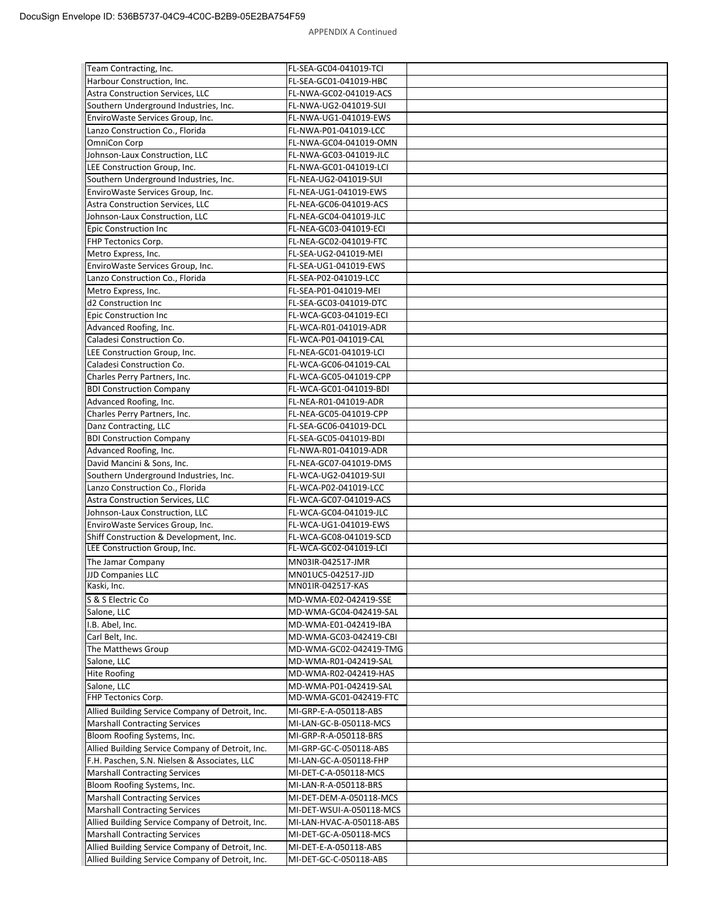| Team Contracting, Inc.                                              | FL-SEA-GC04-041019-TCI                           |  |
|---------------------------------------------------------------------|--------------------------------------------------|--|
| Harbour Construction, Inc.                                          | FL-SEA-GC01-041019-HBC                           |  |
| Astra Construction Services, LLC                                    | FL-NWA-GC02-041019-ACS                           |  |
| Southern Underground Industries, Inc.                               | FL-NWA-UG2-041019-SUI                            |  |
| EnviroWaste Services Group, Inc.                                    | FL-NWA-UG1-041019-EWS                            |  |
| Lanzo Construction Co., Florida                                     | FL-NWA-P01-041019-LCC                            |  |
| OmniCon Corp                                                        | FL-NWA-GC04-041019-OMN                           |  |
| Johnson-Laux Construction, LLC                                      | FL-NWA-GC03-041019-JLC                           |  |
| LEE Construction Group, Inc.                                        | FL-NWA-GC01-041019-LCI                           |  |
| Southern Underground Industries, Inc.                               | FL-NEA-UG2-041019-SUI                            |  |
| EnviroWaste Services Group, Inc.                                    | FL-NEA-UG1-041019-EWS                            |  |
| <b>Astra Construction Services, LLC</b>                             | FL-NEA-GC06-041019-ACS                           |  |
| Johnson-Laux Construction, LLC                                      | FL-NEA-GC04-041019-JLC                           |  |
| <b>Epic Construction Inc</b>                                        | FL-NEA-GC03-041019-ECI                           |  |
| FHP Tectonics Corp.                                                 | FL-NEA-GC02-041019-FTC                           |  |
| Metro Express, Inc.                                                 | FL-SEA-UG2-041019-MEI                            |  |
| EnviroWaste Services Group, Inc.                                    | FL-SEA-UG1-041019-EWS                            |  |
| Lanzo Construction Co., Florida                                     | FL-SEA-P02-041019-LCC                            |  |
| Metro Express, Inc.                                                 | FL-SEA-P01-041019-MEI                            |  |
| d2 Construction Inc                                                 | FL-SEA-GC03-041019-DTC                           |  |
| <b>Epic Construction Inc.</b>                                       | FL-WCA-GC03-041019-ECI                           |  |
| Advanced Roofing, Inc.                                              | FL-WCA-R01-041019-ADR                            |  |
| Caladesi Construction Co.                                           | FL-WCA-P01-041019-CAL                            |  |
| LEE Construction Group, Inc.                                        | FL-NEA-GC01-041019-LCI                           |  |
| Caladesi Construction Co.                                           | FL-WCA-GC06-041019-CAL                           |  |
| Charles Perry Partners, Inc.                                        | FL-WCA-GC05-041019-CPP                           |  |
| <b>BDI Construction Company</b>                                     | FL-WCA-GC01-041019-BDI                           |  |
| Advanced Roofing, Inc.                                              | FL-NEA-R01-041019-ADR                            |  |
| Charles Perry Partners, Inc.                                        | FL-NEA-GC05-041019-CPP                           |  |
| Danz Contracting, LLC                                               | FL-SEA-GC06-041019-DCL                           |  |
| <b>BDI Construction Company</b>                                     | FL-SEA-GC05-041019-BDI                           |  |
| Advanced Roofing, Inc.                                              | FL-NWA-R01-041019-ADR                            |  |
| David Mancini & Sons, Inc.                                          | FL-NEA-GC07-041019-DMS                           |  |
| Southern Underground Industries, Inc.                               | FL-WCA-UG2-041019-SUI                            |  |
| Lanzo Construction Co., Florida                                     | FL-WCA-P02-041019-LCC                            |  |
| <b>Astra Construction Services, LLC</b>                             | FL-WCA-GC07-041019-ACS                           |  |
| Johnson-Laux Construction, LLC                                      | FL-WCA-GC04-041019-JLC                           |  |
| EnviroWaste Services Group, Inc.                                    | FL-WCA-UG1-041019-EWS                            |  |
| Shiff Construction & Development, Inc.                              | FL-WCA-GC08-041019-SCD                           |  |
| LEE Construction Group, Inc.                                        | FL-WCA-GC02-041019-LCI                           |  |
| The Jamar Company                                                   | MN03IR-042517-JMR                                |  |
| <b>JJD Companies LLC</b>                                            | MN01UC5-042517-JJD                               |  |
| Kaski, Inc.                                                         | MN01IR-042517-KAS                                |  |
| S & S Electric Co                                                   | MD-WMA-E02-042419-SSE                            |  |
| Salone, LLC                                                         | MD-WMA-GC04-042419-SAL                           |  |
| I.B. Abel, Inc.                                                     | MD-WMA-E01-042419-IBA                            |  |
| Carl Belt, Inc.                                                     | MD-WMA-GC03-042419-CBI                           |  |
| The Matthews Group                                                  | MD-WMA-GC02-042419-TMG                           |  |
| Salone, LLC                                                         | MD-WMA-R01-042419-SAL                            |  |
| <b>Hite Roofing</b>                                                 | MD-WMA-R02-042419-HAS                            |  |
| Salone, LLC                                                         | MD-WMA-P01-042419-SAL                            |  |
| FHP Tectonics Corp.                                                 | MD-WMA-GC01-042419-FTC                           |  |
| Allied Building Service Company of Detroit, Inc.                    | MI-GRP-E-A-050118-ABS                            |  |
| <b>Marshall Contracting Services</b>                                | MI-LAN-GC-B-050118-MCS                           |  |
| Bloom Roofing Systems, Inc.                                         | MI-GRP-R-A-050118-BRS                            |  |
| Allied Building Service Company of Detroit, Inc.                    | MI-GRP-GC-C-050118-ABS                           |  |
| F.H. Paschen, S.N. Nielsen & Associates, LLC                        | MI-LAN-GC-A-050118-FHP                           |  |
| <b>Marshall Contracting Services</b>                                | MI-DET-C-A-050118-MCS                            |  |
|                                                                     |                                                  |  |
| Bloom Roofing Systems, Inc.<br><b>Marshall Contracting Services</b> | MI-LAN-R-A-050118-BRS<br>MI-DET-DEM-A-050118-MCS |  |
| <b>Marshall Contracting Services</b>                                |                                                  |  |
|                                                                     | MI-DET-WSUI-A-050118-MCS                         |  |
| Allied Building Service Company of Detroit, Inc.                    | MI-LAN-HVAC-A-050118-ABS                         |  |
| <b>Marshall Contracting Services</b>                                | MI-DET-GC-A-050118-MCS                           |  |
| Allied Building Service Company of Detroit, Inc.                    | MI-DET-E-A-050118-ABS                            |  |
| Allied Building Service Company of Detroit, Inc.                    | MI-DET-GC-C-050118-ABS                           |  |